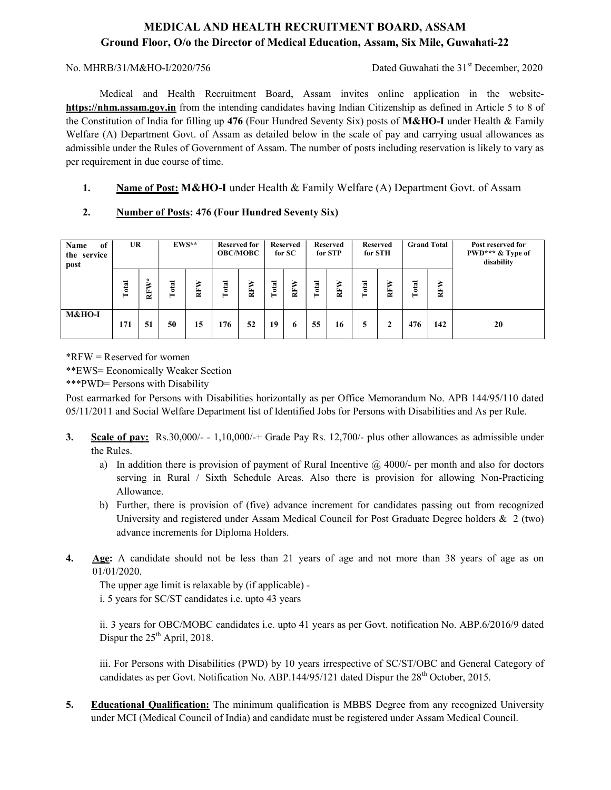# MEDICAL AND HEALTH RECRUITMENT BOARD, ASSAM Ground Floor, O/o the Director of Medical Education, Assam, Six Mile, Guwahati-22

No. MHRB/31/M&HO-I/2020/756 Dated Guwahati the 31st December, 2020

 Medical and Health Recruitment Board, Assam invites online application in the websitehttps://nhm.assam.gov.in from the intending candidates having Indian Citizenship as defined in Article 5 to 8 of the Constitution of India for filling up 476 (Four Hundred Seventy Six) posts of M&HO-I under Health & Family Welfare (A) Department Govt. of Assam as detailed below in the scale of pay and carrying usual allowances as admissible under the Rules of Government of Assam. The number of posts including reservation is likely to vary as per requirement in due course of time.

1. Name of Post: M&HO-I under Health & Family Welfare (A) Department Govt. of Assam

# 2. Number of Posts: 476 (Four Hundred Seventy Six)

| Name<br>of<br>the service<br>post | <b>UR</b> |                   | $EWS**$     |    | <b>Reserved for</b><br><b>OBC/MOBC</b> |    | <b>Reserved</b><br>for SC |     | <b>Reserved</b><br>for STP |        | <b>Reserved</b><br>for STH |        | <b>Grand Total</b> |        | Post reserved for<br>PWD*** & Type of<br>disability |
|-----------------------------------|-----------|-------------------|-------------|----|----------------------------------------|----|---------------------------|-----|----------------------------|--------|----------------------------|--------|--------------------|--------|-----------------------------------------------------|
|                                   | otal<br>⊨ | $\star$<br>Ŝ<br>E | Ξ<br>۰<br>⊨ | E  | −<br>ē<br>⊨                            | E  | σtal<br>⊷                 | RFW | otal<br>⊨                  | ⋧<br>E | g<br>▬                     | ≳<br>È | dial<br>⊨          | ⋧<br>È |                                                     |
| M&HO-I                            | 171       | 51                | 50          | 15 | 176                                    | 52 | 19                        | 6   | 55                         | 16     |                            | 2      | 476                | 142    | 20                                                  |

\*RFW = Reserved for women

\*\*EWS= Economically Weaker Section

\*\*\*PWD= Persons with Disability

Post earmarked for Persons with Disabilities horizontally as per Office Memorandum No. APB 144/95/110 dated 05/11/2011 and Social Welfare Department list of Identified Jobs for Persons with Disabilities and As per Rule.

- 3. Scale of pay: Rs.30,000/- 1,10,000/-+ Grade Pay Rs. 12,700/- plus other allowances as admissible under the Rules.
	- a) In addition there is provision of payment of Rural Incentive  $\omega$  4000/- per month and also for doctors serving in Rural / Sixth Schedule Areas. Also there is provision for allowing Non-Practicing Allowance.
	- b) Further, there is provision of (five) advance increment for candidates passing out from recognized University and registered under Assam Medical Council for Post Graduate Degree holders & 2 (two) advance increments for Diploma Holders.
- 4. Age: A candidate should not be less than 21 years of age and not more than 38 years of age as on 01/01/2020.

The upper age limit is relaxable by (if applicable) -

i. 5 years for SC/ST candidates i.e. upto 43 years

ii. 3 years for OBC/MOBC candidates i.e. upto 41 years as per Govt. notification No. ABP.6/2016/9 dated Dispur the  $25<sup>th</sup>$  April, 2018.

iii. For Persons with Disabilities (PWD) by 10 years irrespective of SC/ST/OBC and General Category of candidates as per Govt. Notification No. ABP.144/95/121 dated Dispur the 28<sup>th</sup> October, 2015.

5. Educational Qualification: The minimum qualification is MBBS Degree from any recognized University under MCI (Medical Council of India) and candidate must be registered under Assam Medical Council.